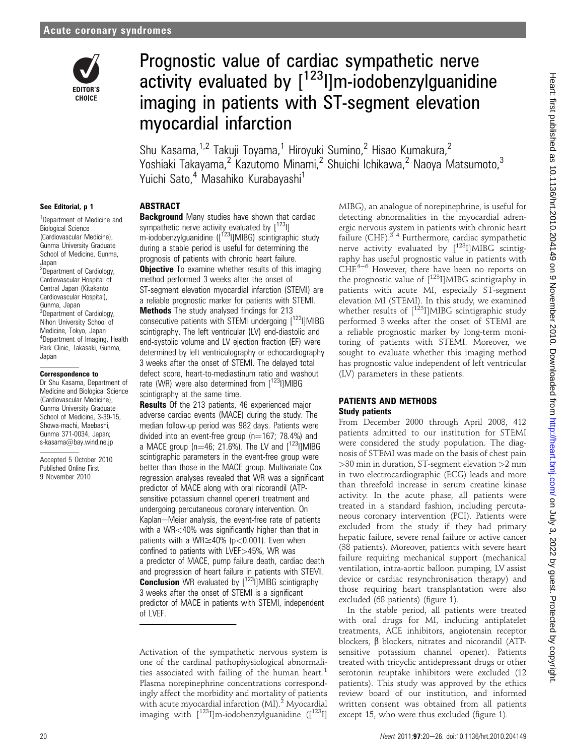

# Prognostic value of cardiac sympathetic nerve activity evaluated by  $[1^{23}]$ ]m-iodobenzylguanidine imaging in patients with ST-segment elevation myocardial infarction

Shu Kasama,<sup>1,2</sup> Takuji Toyama,<sup>1</sup> Hiroyuki Sumino,<sup>2</sup> Hisao Kumakura,<sup>2</sup> Yoshiaki Takayama,<sup>2</sup> Kazutomo Minami,<sup>2</sup> Shuichi Ichikawa,<sup>2</sup> Naoya Matsumoto,<sup>3</sup> Yuichi Sato.<sup>4</sup> Masahiko Kurabayashi<sup>1</sup>

#### See Editorial, p 1

<sup>1</sup>Department of Medicine and Biological Science (Cardiovascular Medicine), Gunma University Graduate School of Medicine, Gunma, Japan <sup>2</sup>Department of Cardiology, Cardiovascular Hospital of Central Japan (Kitakanto Cardiovascular Hospital), Gunma, Japan <sup>3</sup>Department of Cardiology, Nihon University School of Medicine, Tokyo, Japan 4 Department of Imaging, Health Park Clinic, Takasaki, Gunma, Japan

#### Correspondence to

Dr Shu Kasama, Department of Medicine and Biological Science (Cardiovascular Medicine), Gunma University Graduate School of Medicine, 3-39-15, Showa-machi, Maebashi, Gunma 371-0034, Japan; s-kasama@bay.wind.ne.jp

Accepted 5 October 2010 Published Online First 9 November 2010

#### **ABSTRACT**

**Background** Many studies have shown that cardiac sympathetic nerve activity evaluated by  $[123]$ ] m-iodobenzylguanidine  $\left(\frac{1}{2}a\right)$  MIBG) scintigraphic study during a stable period is useful for determining the prognosis of patients with chronic heart failure. **Objective** To examine whether results of this imaging method performed 3 weeks after the onset of ST-segment elevation myocardial infarction (STEMI) are a reliable prognostic marker for patients with STEMI. **Methods** The study analysed findings for 213 consecutive patients with STEMI undergoing [<sup>123</sup>]]MIBG scintigraphy. The left ventricular (LV) end-diastolic and end-systolic volume and LV ejection fraction (EF) were determined by left ventriculography or echocardiography 3 weeks after the onset of STEMI. The delayed total defect score, heart-to-mediastinum ratio and washout rate (WR) were also determined from  $[123]$ ]MIBG scintigraphy at the same time.

**Results** Of the 213 patients, 46 experienced major adverse cardiac events (MACE) during the study. The median follow-up period was 982 days. Patients were divided into an event-free group  $(n=167; 78.4%)$  and a MACE group  $(n=46; 21.6%)$ . The LV and  $[123]$ IMIBG scintigraphic parameters in the event-free group were better than those in the MACE group. Multivariate Cox regression analyses revealed that WR was a significant predictor of MACE along with oral nicorandil (ATPsensitive potassium channel opener) treatment and undergoing percutaneous coronary intervention. On Kaplan-Meier analysis, the event-free rate of patients with a WR<40% was significantly higher than that in patients with a WR $\geq$ 40% (p $<$ 0.001). Even when confined to patients with LVEF>45%, WR was a predictor of MACE, pump failure death, cardiac death and progression of heart failure in patients with STEMI. **Conclusion** WR evaluated by [<sup>123</sup>I]MIBG scintigraphy 3 weeks after the onset of STEMI is a significant predictor of MACE in patients with STEMI, independent of LVEF.

Activation of the sympathetic nervous system is one of the cardinal pathophysiological abnormalities associated with failing of the human heart.<sup>1</sup> Plasma norepinephrine concentrations correspondingly affect the morbidity and mortality of patients with acute myocardial infarction  $(MI)$ <sup>2</sup> Myocardial imaging with  $\left[1^{123}\right]$ ]m-iodobenzylguanidine  $\left(\right[1^{123}\right]$ ]

MIBG), an analogue of norepinephrine, is useful for detecting abnormalities in the myocardial adrenergic nervous system in patients with chronic heart failure (CHF).<sup> $3/4$ </sup> Furthermore, cardiac sympathetic nerve activity evaluated by  $\int^{123}$ I]MIBG scintigraphy has useful prognostic value in patients with  $CHE<sup>4–6</sup>$  However, there have been no reports on the prognostic value of  $[$ <sup>123</sup>I]MIBG scintigraphy in patients with acute MI, especially ST-segment elevation MI (STEMI). In this study, we examined whether results of  $[123]$ MIBG scintigraphic study performed 3 weeks after the onset of STEMI are a reliable prognostic marker by long-term monitoring of patients with STEMI. Moreover, we sought to evaluate whether this imaging method has prognostic value independent of left ventricular (LV) parameters in these patients.

#### PATIENTS AND METHODS Study patients

From December 2000 through April 2008, 412 patients admitted to our institution for STEMI were considered the study population. The diagnosis of STEMI was made on the basis of chest pain >30 min in duration, ST-segment elevation >2 mm in two electrocardiographic (ECG) leads and more than threefold increase in serum creatine kinase activity. In the acute phase, all patients were treated in a standard fashion, including percutaneous coronary intervention (PCI). Patients were excluded from the study if they had primary hepatic failure, severe renal failure or active cancer (38 patients). Moreover, patients with severe heart failure requiring mechanical support (mechanical ventilation, intra-aortic balloon pumping, LV assist device or cardiac resynchronisation therapy) and those requiring heart transplantation were also excluded (68 patients) (figure 1).

In the stable period, all patients were treated with oral drugs for MI, including antiplatelet treatments, ACE inhibitors, angiotensin receptor blockers,  $\beta$  blockers, nitrates and nicorandil (ATPsensitive potassium channel opener). Patients treated with tricyclic antidepressant drugs or other serotonin reuptake inhibitors were excluded (12 patients). This study was approved by the ethics review board of our institution, and informed written consent was obtained from all patients except 15, who were thus excluded (figure 1).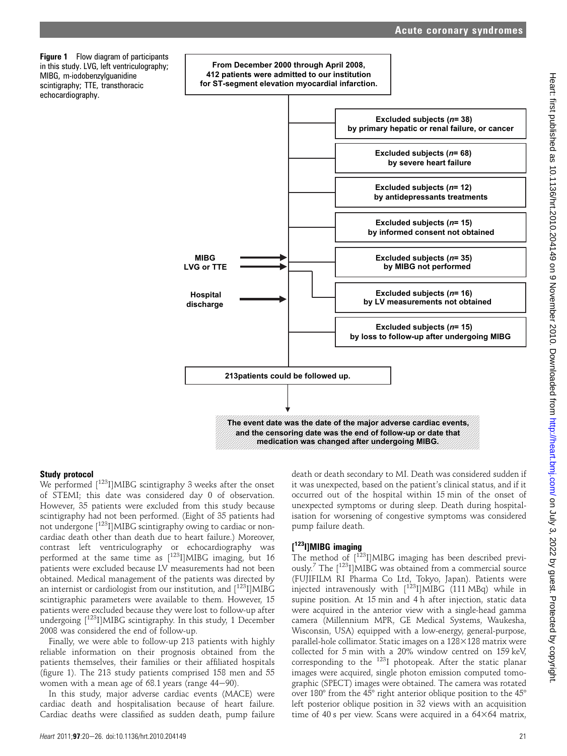

#### **medication was changed after undergoing MIBG.**

#### Study protocol

We performed [<sup>123</sup>I]MIBG scintigraphy 3 weeks after the onset of STEMI; this date was considered day 0 of observation. However, 35 patients were excluded from this study because scintigraphy had not been performed. (Eight of 35 patients had not undergone [<sup>123</sup>I]MIBG scintigraphy owing to cardiac or noncardiac death other than death due to heart failure.) Moreover, contrast left ventriculography or echocardiography was performed at the same time as  $[123]$ MIBG imaging, but 16 patients were excluded because LV measurements had not been obtained. Medical management of the patients was directed by an internist or cardiologist from our institution, and  $\left[1^{23}I\right]MIBG$ scintigraphic parameters were available to them. However, 15 patients were excluded because they were lost to follow-up after undergoing  $[1^{23}$ I]MIBG scintigraphy. In this study, 1 December 2008 was considered the end of follow-up.

Finally, we were able to follow-up 213 patients with highly reliable information on their prognosis obtained from the patients themselves, their families or their affiliated hospitals (figure 1). The 213 study patients comprised 158 men and 55 women with a mean age of  $68.1$  years (range  $44-90$ ).

In this study, major adverse cardiac events (MACE) were cardiac death and hospitalisation because of heart failure. Cardiac deaths were classified as sudden death, pump failure death or death secondary to MI. Death was considered sudden if it was unexpected, based on the patient's clinical status, and if it occurred out of the hospital within 15 min of the onset of unexpected symptoms or during sleep. Death during hospitalisation for worsening of congestive symptoms was considered pump failure death.

# [<sup>123</sup>I]MIBG imaging

The method of [<sup>123</sup>I]MIBG imaging has been described previously.<sup>7</sup> The [123I]MIBG was obtained from a commercial source (FUJIFILM RI Pharma Co Ltd, Tokyo, Japan). Patients were injected intravenously with  $[123]$  MIBG (111 MBq) while in supine position. At 15 min and 4 h after injection, static data were acquired in the anterior view with a single-head gamma camera (Millennium MPR, GE Medical Systems, Waukesha, Wisconsin, USA) equipped with a low-energy, general-purpose, parallel-hole collimator. Static images on a  $128\times128$  matrix were collected for 5 min with a 20% window centred on 159 keV, corresponding to the 123I photopeak. After the static planar images were acquired, single photon emission computed tomographic (SPECT) images were obtained. The camera was rotated over 180° from the 45° right anterior oblique position to the 45° left posterior oblique position in 32 views with an acquisition time of 40 s per view. Scans were acquired in a  $64\times64$  matrix,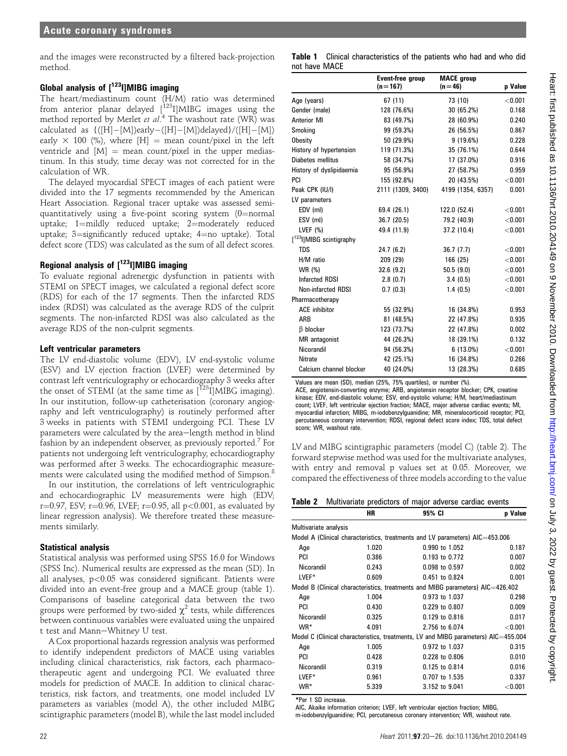and the images were reconstructed by a filtered back-projection method.

# Global analysis of  $[123]$ IMIBG imaging

The heart/mediastinum count (H/M) ratio was determined from anterior planar delayed [123I]MIBG images using the method reported by Merlet et al.<sup>4</sup> The washout rate (WR) was calculated as  $\{([H]-[M])$ early $-([H]-[M])$ delayed}/([H] $-[M])$ early  $\times$  100 (%), where [H] = mean count/pixel in the left ventricle and  $[M] =$  mean count/pixel in the upper mediastinum. In this study, time decay was not corrected for in the calculation of WR.

The delayed myocardial SPECT images of each patient were divided into the 17 segments recommended by the American Heart Association. Regional tracer uptake was assessed semiquantitatively using a five-point scoring system  $(0=$ normal uptake;  $1$ =mildly reduced uptake;  $2$ =moderately reduced uptake;  $3 =$ significantly reduced uptake;  $4 =$ no uptake). Total defect score (TDS) was calculated as the sum of all defect scores.

## Regional analysis of  $[123]$ ]MIBG imaging

To evaluate regional adrenergic dysfunction in patients with STEMI on SPECT images, we calculated a regional defect score (RDS) for each of the 17 segments. Then the infarcted RDS index (RDSI) was calculated as the average RDS of the culprit segments. The non-infarcted RDSI was also calculated as the average RDS of the non-culprit segments.

#### Left ventricular parameters

The LV end-diastolic volume (EDV), LV end-systolic volume (ESV) and LV ejection fraction (LVEF) were determined by contrast left ventriculography or echocardiography 3 weeks after the onset of STEMI (at the same time as  $\left[1^{23}I\right]$ MIBG imaging). In our institution, follow-up catheterisation (coronary angiography and left ventriculography) is routinely performed after 3 weeks in patients with STEMI undergoing PCI. These LV parameters were calculated by the area-length method in blind fashion by an independent observer, as previously reported.<sup>7</sup> For patients not undergoing left ventriculography, echocardiography was performed after 3 weeks. The echocardiographic measurements were calculated using the modified method of Simpson.<sup>8</sup>

In our institution, the correlations of left ventriculographic and echocardiographic LV measurements were high (EDV; r=0.97, ESV; r=0.96, LVEF; r=0.95, all p<0.001, as evaluated by linear regression analysis). We therefore treated these measurements similarly.

# Statistical analysis

Statistical analysis was performed using SPSS 16.0 for Windows (SPSS Inc). Numerical results are expressed as the mean (SD). In all analyses, p<0.05 was considered significant. Patients were divided into an event-free group and a MACE group (table 1). Comparisons of baseline categorical data between the two groups were performed by two-sided  $\chi^2$  tests, while differences between continuous variables were evaluated using the unpaired t test and Mann-Whitney U test.

A Cox proportional hazards regression analysis was performed to identify independent predictors of MACE using variables including clinical characteristics, risk factors, each pharmacotherapeutic agent and undergoing PCI. We evaluated three models for prediction of MACE. In addition to clinical characteristics, risk factors, and treatments, one model included LV parameters as variables (model A), the other included MIBG scintigraphic parameters (model B), while the last model included

|               | <b>Table 1</b> Clinical characteristics of the patients who had and who did |  |  |  |  |
|---------------|-----------------------------------------------------------------------------|--|--|--|--|
| not have MACE |                                                                             |  |  |  |  |

|                                      | <b>Event-free group</b><br>$(n=167)$ | <b>MACE</b> group<br>$(n = 46)$ | p Value |
|--------------------------------------|--------------------------------------|---------------------------------|---------|
| Age (years)                          | 67 (11)                              | 73 (10)                         | < 0.001 |
| Gender (male)                        | 128 (76.6%)                          | 30 (65.2%)                      | 0.168   |
| <b>Anterior MI</b>                   | 83 (49.7%)                           | 28 (60.9%)                      | 0.240   |
| Smoking                              | 99 (59.3%)                           | 26 (56.5%)                      | 0.867   |
| Obesity                              | 50 (29.9%)                           | 9(19.6%)                        | 0.228   |
| History of hypertension              | 119 (71.3%)                          | 35 (76.1%)                      | 0.644   |
| Diabetes mellitus                    | 58 (34.7%)                           | 17 (37.0%)                      | 0.916   |
| History of dyslipidaemia             | 95 (56.9%)                           | 27 (58.7%)                      | 0.959   |
| PCI                                  | 155 (92.8%)                          | 20 (43.5%)                      | < 0.001 |
| Peak CPK (IU/I)                      | 2111 (1309, 3400)                    | 4199 (1354, 6357)               | 0.001   |
| LV parameters                        |                                      |                                 |         |
| EDV (ml)                             | 69.4 (26.1)                          | 122.0 (52.4)                    | < 0.001 |
| ESV (ml)                             | 36.7 (20.5)                          | 79.2 (40.9)                     | < 0.001 |
| LVEF $(%)$                           | 49.4 (11.9)                          | 37.2 (10.4)                     | < 0.001 |
| [ <sup>123</sup> l]MIBG scintigraphy |                                      |                                 |         |
| <b>TDS</b>                           | 24.7(6.2)                            | 36.7 (7.7)                      | < 0.001 |
| H/M ratio                            | 209 (29)                             | 166 (25)                        | < 0.001 |
| WR (%)                               | 32.6(9.2)                            | 50.5(9.0)                       | < 0.001 |
| <b>Infarcted RDSI</b>                | 2.8(0.7)                             | 3.4(0.5)                        | < 0.001 |
| Non-infarcted RDSI                   | 0.7(0.3)                             | 1.4(0.5)                        | < 0.001 |
| Pharmacotherapy                      |                                      |                                 |         |
| <b>ACE</b> inhibitor                 | 55 (32.9%)                           | 16 (34.8%)                      | 0.953   |
| ARB                                  | 81 (48.5%)                           | 22 (47.8%)                      | 0.935   |
| $\beta$ blocker                      | 123 (73.7%)                          | 22 (47.8%)                      | 0.002   |
| MR antagonist                        | 44 (26.3%)                           | 18 (39.1%)                      | 0.132   |
| Nicorandil                           | 94 (56.3%)                           | $6(13.0\%)$                     | < 0.001 |
| <b>Nitrate</b>                       | 42 (25.1%)                           | 16 (34.8%)                      | 0.266   |
| Calcium channel blocker              | 40 (24.0%)                           | 13 (28.3%)                      | 0.685   |

Values are mean (SD), median (25%, 75% quartiles), or number (%).

ACE, angiotensin-converting enzyme; ARB, angiotensin receptor blocker; CPK, creatine kinase; EDV, end-diastolic volume; ESV, end-systolic volume; H/M, heart/mediastinum count; LVEF, left ventricular ejection fraction; MACE, major adverse cardiac events; MI, myocardial infarction; MIBG, m-iodobenzylguanidine; MR, mineralocorticoid receptor; PCI, percutaneous coronary intervention; RDSI, regional defect score index; TDS, total defect score; WR, washout rate.

LV and MIBG scintigraphic parameters (model C) (table 2). The forward stepwise method was used for the multivariate analyses, with entry and removal p values set at 0.05. Moreover, we compared the effectiveness of three models according to the value

Table 2 Multivariate predictors of major adverse cardiac events

|                       | ΗR    | 95% CI                                                                             | <b>p</b> Value |
|-----------------------|-------|------------------------------------------------------------------------------------|----------------|
| Multivariate analysis |       |                                                                                    |                |
|                       |       | Model A (Clinical characteristics, treatments and LV parameters) AIC=453.006       |                |
| Age                   | 1.020 | 0.990 to 1.052                                                                     | 0.187          |
| PCI                   | 0.386 | 0.193 to 0.772                                                                     | 0.007          |
| Nicorandil            | 0.243 | 0.098 to 0.597                                                                     | 0.002          |
| LVEF*                 | 0.609 | 0.451 to 0.824                                                                     | 0.001          |
|                       |       | Model B (Clinical characteristics, treatments and MIBG parameters) AIC=426.402     |                |
| Age                   | 1.004 | 0.973 to 1.037                                                                     | 0.298          |
| PCI                   | 0.430 | 0.229 to 0.807                                                                     | 0.009          |
| Nicorandil            | 0.325 | 0.129 to 0.816                                                                     | 0.017          |
| WR <sup>*</sup>       | 4.091 | 2.756 to 6.074                                                                     | < 0.001        |
|                       |       | Model C (Clinical characteristics, treatments, LV and MIBG parameters) AIC=455.004 |                |
| Age                   | 1.005 | 0.972 to 1.037                                                                     | 0.315          |
| PCI                   | 0.428 | 0.228 to 0.806                                                                     | 0.010          |
| Nicorandil            | 0.319 | 0.125 to 0.814                                                                     | 0.016          |
| LVEF*                 | 0.961 | 0.707 to 1.535                                                                     | 0.337          |
| WR*                   | 5.339 | 3.152 to 9.041                                                                     | $<$ 0.001      |
|                       |       |                                                                                    |                |

\*Per 1 SD increase.

AIC, Akaike information criterion; LVEF, left ventricular ejection fraction; MIBG, m-iodobenzylguanidine; PCI, percutaneous coronary intervention; WR, washout rate.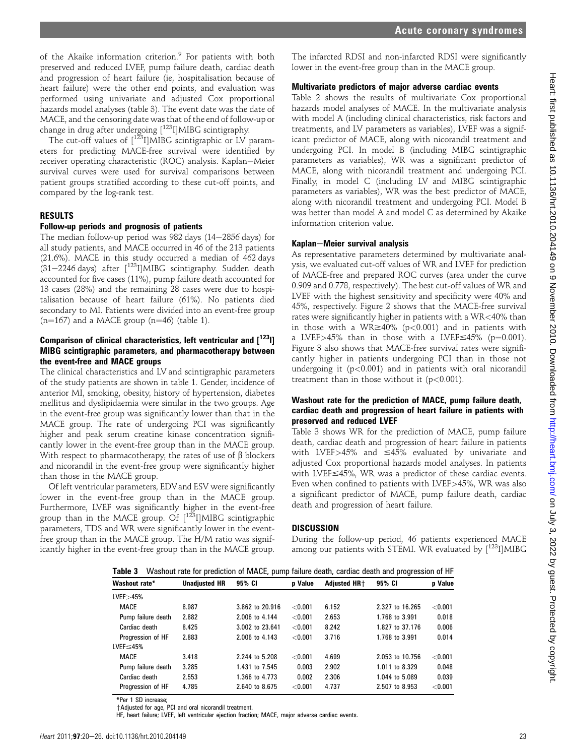of the Akaike information criterion.<sup>9</sup> For patients with both preserved and reduced LVEF, pump failure death, cardiac death and progression of heart failure (ie, hospitalisation because of heart failure) were the other end points, and evaluation was performed using univariate and adjusted Cox proportional hazards model analyses (table 3). The event date was the date of MACE, and the censoring date was that of the end of follow-up or change in drug after undergoing  $\lceil^{123} \rceil$ MIBG scintigraphy.

The cut-off values of  $1^{123}$ I]MIBG scintigraphic or LV parameters for predicting MACE-free survival were identified by receiver operating characteristic (ROC) analysis. Kaplan-Meier survival curves were used for survival comparisons between patient groups stratified according to these cut-off points, and compared by the log-rank test.

#### RESULTS

#### Follow-up periods and prognosis of patients

The median follow-up period was 982 days  $(14-2856 \text{ days})$  for all study patients, and MACE occurred in 46 of the 213 patients (21.6%). MACE in this study occurred a median of 462 days  $(31-2246$  days) after  $[$ <sup>123</sup>I]MIBG scintigraphy. Sudden death accounted for five cases (11%), pump failure death accounted for 13 cases (28%) and the remaining 28 cases were due to hospitalisation because of heart failure (61%). No patients died secondary to MI. Patients were divided into an event-free group  $(n=167)$  and a MACE group  $(n=46)$  (table 1).

#### Comparison of clinical characteristics, left ventricular and  $[1^{23}1]$ MIBG scintigraphic parameters, and pharmacotherapy between the event-free and MACE groups

The clinical characteristics and LV and scintigraphic parameters of the study patients are shown in table 1. Gender, incidence of anterior MI, smoking, obesity, history of hypertension, diabetes mellitus and dyslipidaemia were similar in the two groups. Age in the event-free group was significantly lower than that in the MACE group. The rate of undergoing PCI was significantly higher and peak serum creatine kinase concentration significantly lower in the event-free group than in the MACE group. With respect to pharmacotherapy, the rates of use of  $\beta$  blockers and nicorandil in the event-free group were significantly higher than those in the MACE group.

Of left ventricular parameters, EDVand ESV were significantly lower in the event-free group than in the MACE group. Furthermore, LVEF was significantly higher in the event-free group than in the MACE group. Of  $[1^{23}I]$ MIBG scintigraphic parameters, TDS and WR were significantly lower in the eventfree group than in the MACE group. The H/M ratio was significantly higher in the event-free group than in the MACE group.

The infarcted RDSI and non-infarcted RDSI were significantly lower in the event-free group than in the MACE group.

#### Multivariate predictors of major adverse cardiac events

Table 2 shows the results of multivariate Cox proportional hazards model analyses of MACE. In the multivariate analysis with model A (including clinical characteristics, risk factors and treatments, and LV parameters as variables), LVEF was a significant predictor of MACE, along with nicorandil treatment and undergoing PCI. In model B (including MIBG scintigraphic parameters as variables), WR was a significant predictor of MACE, along with nicorandil treatment and undergoing PCI. Finally, in model C (including LV and MIBG scintigraphic parameters as variables), WR was the best predictor of MACE, along with nicorandil treatment and undergoing PCI. Model B was better than model A and model C as determined by Akaike information criterion value.

#### Kaplan-Meier survival analysis

As representative parameters determined by multivariate analysis, we evaluated cut-off values of WR and LVEF for prediction of MACE-free and prepared ROC curves (area under the curve 0.909 and 0.778, respectively). The best cut-off values of WR and LVEF with the highest sensitivity and specificity were 40% and 45%, respectively. Figure 2 shows that the MACE-free survival rates were significantly higher in patients with a WR<40% than in those with a WR $\geq$ 40% (p<0.001) and in patients with a LVEF>45% than in those with a LVEF $\leq$ 45% (p=0.001). Figure 3 also shows that MACE-free survival rates were significantly higher in patients undergoing PCI than in those not undergoing it  $(p<0.001)$  and in patients with oral nicorandil treatment than in those without it  $(p<0.001)$ .

#### Washout rate for the prediction of MACE, pump failure death, cardiac death and progression of heart failure in patients with preserved and reduced LVEF

Table 3 shows WR for the prediction of MACE, pump failure death, cardiac death and progression of heart failure in patients with LVEF $>45\%$  and  $\leq 45\%$  evaluated by univariate and adjusted Cox proportional hazards model analyses. In patients with LVEF $\leq$ 45%, WR was a predictor of these cardiac events. Even when confined to patients with LVEF>45%, WR was also a significant predictor of MACE, pump failure death, cardiac death and progression of heart failure.

#### **DISCUSSION**

During the follow-up period, 46 patients experienced MACE among our patients with STEMI. WR evaluated by  $[123]$  MIBG

| Washout rate for prediction of MACE, pump failure death, cardiac death and progression of HF<br>Table 3 |                      |                 |                |                          |                 |         |
|---------------------------------------------------------------------------------------------------------|----------------------|-----------------|----------------|--------------------------|-----------------|---------|
| Washout rate*                                                                                           | <b>Unadiusted HR</b> | 95% CI          | <b>p</b> Value | <b>Adiusted HR+</b>      | 95% CI          | p Value |
| LVEF > 45%                                                                                              |                      |                 |                |                          |                 |         |
| MACE                                                                                                    | 8.987                | 3.862 to 20.916 | < 0.001        | 6.152                    | 2.327 to 16.265 | < 0.001 |
| Pump failure death                                                                                      | 2.882                | 2,006 to 4,144  | < 0.001        | 2.653<br>1.768 to 3.991  |                 | 0.018   |
| Cardiac death                                                                                           | 8.425                | 3.002 to 23.641 | < 0.001        | 8.242<br>1.827 to 37.176 |                 | 0.006   |
| Progression of HF                                                                                       | 2.883                | 2,006 to 4,143  | < 0.001        | 3.716                    | 1.768 to 3.991  | 0.014   |
| $LVEF \leq 45%$                                                                                         |                      |                 |                |                          |                 |         |
| MACE                                                                                                    | 3.418                | 2.244 to 5.208  | < 0.001        | 4.699                    | 2.053 to 10.756 | < 0.001 |
| Pump failure death                                                                                      | 3.285                | 1.431 to 7.545  | 0.003          | 2.902<br>1.011 to 8.329  |                 | 0.048   |
| Cardiac death                                                                                           | 2.553                | 1.366 to 4.773  | 0.002          | 2.306                    | 1.044 to 5.089  | 0.039   |
| Progression of HF                                                                                       | 4.785                | 2.640 to 8.675  | < 0.001        | 4.737                    | 2.507 to 8.953  | < 0.001 |

\*Per 1 SD increase;

+Adjusted for age, PCI and oral nicorandil treatment.

HF, heart failure; LVEF, left ventricular ejection fraction; MACE, major adverse cardiac events.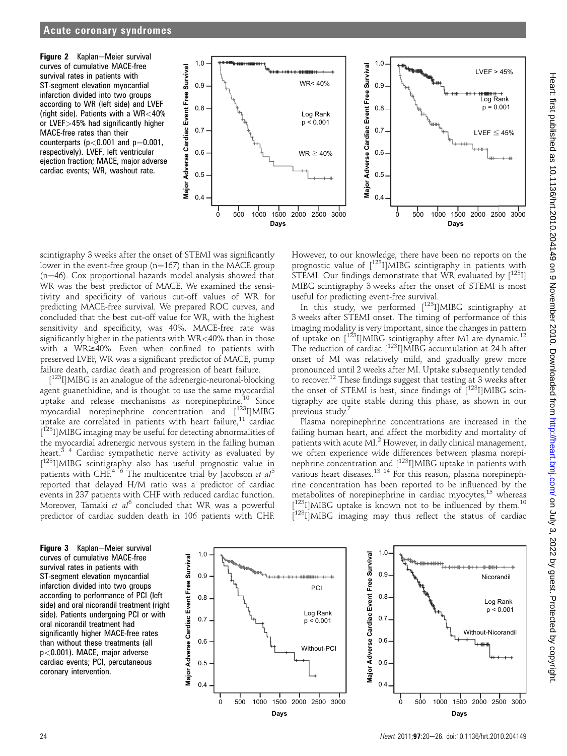Figure 2 Kaplan-Meier survival curves of cumulative MACE-free survival rates in patients with ST-segment elevation myocardial infarction divided into two groups according to WR (left side) and LVEF (right side). Patients with a WR<40% or LVEF>45% had significantly higher MACE-free rates than their counterparts ( $p < 0.001$  and  $p = 0.001$ , respectively). LVEF, left ventricular ejection fraction; MACE, major adverse cardiac events; WR, washout rate.



scintigraphy 3 weeks after the onset of STEMI was significantly lower in the event-free group ( $n=167$ ) than in the MACE group  $(n=46)$ . Cox proportional hazards model analysis showed that WR was the best predictor of MACE. We examined the sensitivity and specificity of various cut-off values of WR for predicting MACE-free survival. We prepared ROC curves, and concluded that the best cut-off value for WR, with the highest sensitivity and specificity, was 40%. MACE-free rate was significantly higher in the patients with WR<40% than in those with a WR $\geq$ 40%. Even when confined to patients with preserved LVEF, WR was a significant predictor of MACE, pump failure death, cardiac death and progression of heart failure.

[<sup>123</sup>I]MIBG is an analogue of the adrenergic-neuronal-blocking agent guanethidine, and is thought to use the same myocardial uptake and release mechanisms as norepinephrine.<sup>10</sup> Since myocardial norepinephrine concentration and [123I]MIBG uptake are correlated in patients with heart failure, $11$  cardiac [<sup>123</sup>I]MIBG imaging may be useful for detecting abnormalities of the myocardial adrenergic nervous system in the failing human heart. $3/4$  Cardiac sympathetic nerve activity as evaluated by [ 123I]MIBG scintigraphy also has useful prognostic value in patients with CHF.<sup>4-6</sup> The multicentre trial by Jacobson et  $al^5$ reported that delayed H/M ratio was a predictor of cardiac events in 237 patients with CHF with reduced cardiac function. Moreover, Tamaki et  $al^6$  concluded that WR was a powerful predictor of cardiac sudden death in 106 patients with CHF.

However, to our knowledge, there have been no reports on the prognostic value of  $[123]$  MIBG scintigraphy in patients with STEMI. Our findings demonstrate that WR evaluated by  $[123]$ ] MIBG scintigraphy 3 weeks after the onset of STEMI is most useful for predicting event-free survival.

In this study, we performed  $\int_0^{123}$ I]MIBG scintigraphy at 3 weeks after STEMI onset. The timing of performance of this imaging modality is very important, since the changes in pattern of uptake on [<sup>123</sup>I]MIBG scintigraphy after MI are dynamic.<sup>12</sup> The reduction of cardiac [<sup>123</sup>I]MIBG accumulation at 24 h after onset of MI was relatively mild, and gradually grew more pronounced until 2 weeks after MI. Uptake subsequently tended to recover.12 These findings suggest that testing at 3 weeks after the onset of STEMI is best, since findings of  $\int_{0}^{123}$ I]MIBG scintigraphy are quite stable during this phase, as shown in our previous study.<sup>7</sup>

Plasma norepinephrine concentrations are increased in the failing human heart, and affect the morbidity and mortality of patients with acute MI.<sup>2</sup> However, in daily clinical management, we often experience wide differences between plasma norepinephrine concentration and [<sup>123</sup>I]MIBG uptake in patients with various heart diseases.<sup>13 14</sup> For this reason, plasma norepinephrine concentration has been reported to be influenced by the metabolites of norepinephrine in cardiac myocytes, $15$  whereas [<sup>123</sup>I]MIBG uptake is known not to be influenced by them.<sup>10</sup> [<sup>123</sup>I]MIBG imaging may thus reflect the status of cardiac

Figure 3 Kaplan-Meier survival curves of cumulative MACE-free survival rates in patients with ST-segment elevation myocardial infarction divided into two groups according to performance of PCI (left side) and oral nicorandil treatment (right side). Patients undergoing PCI or with oral nicorandil treatment had significantly higher MACE-free rates than without these treatments (all p<0.001). MACE, major adverse cardiac events; PCI, percutaneous coronary intervention.



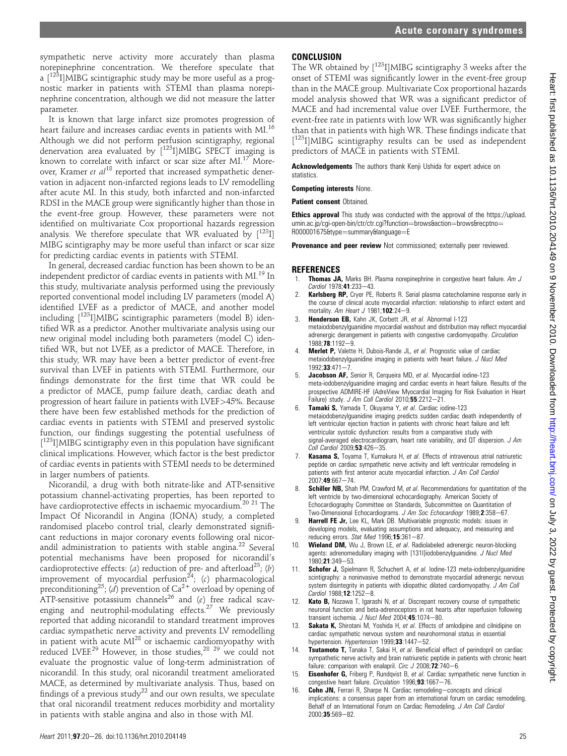sympathetic nerve activity more accurately than plasma norepinephrine concentration. We therefore speculate that a  $\left[\right]^{123}$ I]MIBG scintigraphic study may be more useful as a prognostic marker in patients with STEMI than plasma norepinephrine concentration, although we did not measure the latter parameter.

It is known that large infarct size promotes progression of heart failure and increases cardiac events in patients with MI.<sup>16</sup> Although we did not perform perfusion scintigraphy, regional denervation area evaluated by [123I]MIBG SPECT imaging is known to correlate with infarct or scar size after  $MI^{17}$  Moreover, Kramer et al<sup>18</sup> reported that increased sympathetic denervation in adjacent non-infarcted regions leads to LV remodelling after acute MI. In this study, both infarcted and non-infarcted RDSI in the MACE group were significantly higher than those in the event-free group. However, these parameters were not identified on multivariate Cox proportional hazards regression analysis. We therefore speculate that WR evaluated by  $[123]$ ] MIBG scintigraphy may be more useful than infarct or scar size for predicting cardiac events in patients with STEMI.

In general, decreased cardiac function has been shown to be an independent predictor of cardiac events in patients with MI.<sup>19</sup> In this study, multivariate analysis performed using the previously reported conventional model including LV parameters (model A) identified LVEF as a predictor of MACE, and another model including [<sup>123</sup>]]MIBG scintigraphic parameters (model B) identified WR as a predictor. Another multivariate analysis using our new original model including both parameters (model C) identified WR, but not LVEF, as a predictor of MACE. Therefore, in this study, WR may have been a better predictor of event-free survival than LVEF in patients with STEMI. Furthermore, our findings demonstrate for the first time that WR could be a predictor of MACE, pump failure death, cardiac death and progression of heart failure in patients with LVEF>45%. Because there have been few established methods for the prediction of cardiac events in patients with STEMI and preserved systolic function, our findings suggesting the potential usefulness of [<sup>123</sup>I]MIBG scintigraphy even in this population have significant clinical implications. However, which factor is the best predictor of cardiac events in patients with STEMI needs to be determined in larger numbers of patients.

Nicorandil, a drug with both nitrate-like and ATP-sensitive potassium channel-activating properties, has been reported to have cardioprotective effects in ischaemic myocardium.<sup>20</sup> <sup>21</sup> The Impact Of Nicorandil in Angina (IONA) study, a completed randomised placebo control trial, clearly demonstrated significant reductions in major coronary events following oral nicorandil administration to patients with stable angina.<sup>22</sup> Several potential mechanisms have been proposed for nicorandil's cardioprotective effects: (a) reduction of pre- and afterload<sup>23</sup>; (b) improvement of myocardial perfusion $^{24}$ ; (c) pharmacological preconditioning<sup>25</sup>; (d) prevention of Ca<sup>2+</sup> overload by opening of ATP-sensitive potassium channels<sup>26</sup> and  $(e)$  free radical scavenging and neutrophil-modulating effects.<sup>27</sup> We previously reported that adding nicorandil to standard treatment improves cardiac sympathetic nerve activity and prevents LV remodelling in patient with acute MI<sup>28</sup> or ischaemic cardiomyopathy with reduced LVEF.<sup>29</sup> However, in those studies,<sup>28 29</sup> we could not evaluate the prognostic value of long-term administration of nicorandil. In this study, oral nicorandil treatment ameliorated MACE, as determined by multivariate analysis. Thus, based on findings of a previous study<sup>22</sup> and our own results, we speculate that oral nicorandil treatment reduces morbidity and mortality in patients with stable angina and also in those with MI.

### **CONCLUSION**

The WR obtained by [123I]MIBG scintigraphy 3 weeks after the onset of STEMI was significantly lower in the event-free group than in the MACE group. Multivariate Cox proportional hazards model analysis showed that WR was a significant predictor of MACE and had incremental value over LVEF. Furthermore, the event-free rate in patients with low WR was significantly higher than that in patients with high WR. These findings indicate that [<sup>123</sup>I]MIBG scintigraphy results can be used as independent predictors of MACE in patients with STEMI.

Acknowledgements The authors thank Kenji Ushida for expert advice on statistics.

Competing interests None.

**Patient consent Obtained.** 

Ethics approval This study was conducted with the approval of the https://upload. umin.ac.jp/cgi-open-bin/ctr/ctr.cgi?function=brows&action=brows&recptno= R000001675&type=summary&language=E

**Provenance and peer review** Not commissioned; externally peer reviewed.

#### **REFERENCES**

- Thomas JA, Marks BH. Plasma norepinephrine in congestive heart failure. Am J Cardiol 1978;41:233-43.
- Karlsberg RP, Cryer PE, Roberts R. Serial plasma catecholamine response early in the course of clinical acute myocardial infarction: relationship to infarct extent and mortality. Am Heart J 1981;102:24-9.
- 3. Henderson EB, Kahn JK, Corbett JR, et al. Abnormal I-123 metaiodobenzylguanidine myocardial washout and distribution may reflect myocardial adrenergic derangement in patients with congestive cardiomyopathy. Circulation 1988:78:1192-9.
- Merlet P, Valette H, Dubois-Rande JL, et al. Prognostic value of cardiac metaiodobenzylguanidine imaging in patients with heart failure. J Nucl Med  $1992:33:471 - 7$
- Jacobson AF, Senior R, Cerqueira MD, et al. Myocardial iodine-123 meta-iodobenzylguanidine imaging and cardiac events in heart failure. Results of the prospective ADMIRE-HF (AdreView Myocardial Imaging for Risk Evaluation in Heart Failure) study. J Am Coll Cardiol 2010;55:2212-21.
- Tamaki S, Yamada T, Okuyama Y, et al. Cardiac iodine-123 metaiodobenzylguanidine imaging predicts sudden cardiac death independently of left ventricular ejection fraction in patients with chronic heart failure and left ventricular systolic dysfunction: results from a comparative study with signal-averaged electrocardiogram, heart rate variability, and  $\overline{QT}$  dispersion.  $J$  Am Coll Cardiol 2009;53:426-35.
- 7. Kasama S, Toyama T, Kumakura H, et al. Effects of intravenous atrial natriuretic peptide on cardiac sympathetic nerve activity and left ventricular remodeling in patients with first anterior acute myocardial infarction. J Am Coll Cardiol  $2007.49.667 - 74.$
- 8. Schiller NB, Shah PM, Crawford M, et al. Recommendations for quantitation of the left ventricle by two-dimensional echocardiography. American Society of Echocardiography Committee on Standards, Subcommittee on Quantitation of Two-Dimensional Echocardiograms. J Am Soc Echocardiogr 1989;2:358-67.
- 9. Harrell FE Jr, Lee KL, Mark DB. Multivariable prognostic models: issues in developing models, evaluating assumptions and adequacy, and measuring and reducing errors. Stat Med 1996;15:361-87.
- 10. Wieland DM, Wu J, Brown LE, et al. Radiolabeled adrenergic neuron-blocking agents: adrenomedullary imaging with [131I]iodobenzylguanidine. J Nucl Med 1980;21:349-53.
- Schofer J, Spielmann R, Schuchert A, et al. Iodine-123 meta-iodobenzylguanidine scintigraphy: a noninvasive method to demonstrate myocardial adrenergic nervous system disintegrity in patients with idiopathic dilated cardiomyopathy. J Am Coll Cardiol 1988;12:1252-8.
- 12. Kato B, Nozawa T, Igarashi N, et al. Discrepant recovery course of sympathetic neuronal function and beta-adrenoceptors in rat hearts after reperfusion following transient ischemia. J Nucl Med  $2004;45:1074-80$ .
- 13. **Sakata K**, Shirotani M, Yoshida H, et al. Effects of amlodipine and cilnidipine on cardiac sympathetic nervous system and neurohormonal status in essential hypertension. Hypertension 1999;33:1447-52.
- Tsutamoto T, Tanaka T, Sakai H, et al. Beneficial effect of perindopril on cardiac sympathetic nerve activity and brain natriuretic peptide in patients with chronic heart failure: comparison with enalapril. Circ  $J$  2008; **72**:740-6.
- 15. **Eisenhofer G,** Friberg P, Rundqvist B, et al. Cardiac sympathetic nerve function in congestive heart failure. Circulation 1996;93:1667-76.
- Cohn JN, Ferrari R, Sharpe N. Cardiac remodeling-concepts and clinical implications: a consensus paper from an international forum on cardiac remodeling. Behalf of an International Forum on Cardiac Remodeling. J Am Coll Cardiol  $2000:35:569 - 82$